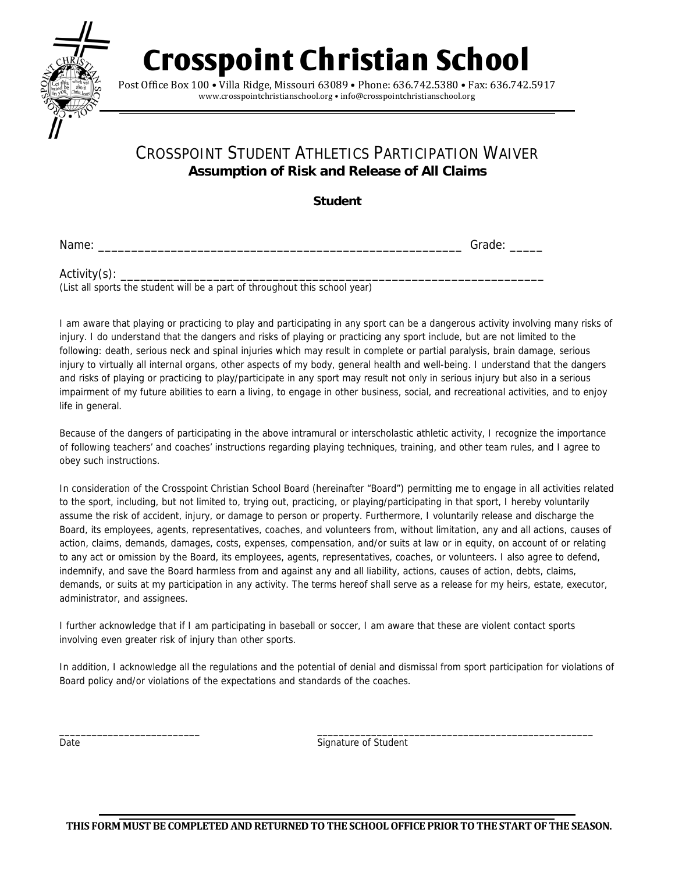

**Crosspoint Christian School** 

Post Office Box 100 · Villa Ridge, Missouri 63089 · Phone: 636.742.5380 · Fax: 636.742.5917 www.crosspointchristianschool.org • info@crosspointchristianschool.org

## CROSSPOINT STUDENT ATHLETICS PARTICIPATION WAIVER **Assumption of Risk and Release of All Claims**

**Student** 

Name: \_\_\_\_\_\_\_\_\_\_\_\_\_\_\_\_\_\_\_\_\_\_\_\_\_\_\_\_\_\_\_\_\_\_\_\_\_\_\_\_\_\_\_\_\_\_\_\_\_\_\_\_\_\_\_ Grade: \_\_\_\_\_

Activity(s): \_\_\_\_\_\_\_\_\_\_\_\_\_\_\_\_\_\_\_\_\_\_\_\_\_\_\_\_\_\_\_\_\_\_\_\_\_\_\_\_\_\_\_\_\_\_\_\_\_\_\_\_\_\_\_\_\_\_\_\_\_\_\_\_ (List all sports the student will be a part of throughout this school year)

I am aware that playing or practicing to play and participating in any sport can be a dangerous activity involving many risks of injury. I do understand that the dangers and risks of playing or practicing any sport include, but are not limited to the following: death, serious neck and spinal injuries which may result in complete or partial paralysis, brain damage, serious injury to virtually all internal organs, other aspects of my body, general health and well-being. I understand that the dangers and risks of playing or practicing to play/participate in any sport may result not only in serious injury but also in a serious impairment of my future abilities to earn a living, to engage in other business, social, and recreational activities, and to enjoy life in general.

Because of the dangers of participating in the above intramural or interscholastic athletic activity, I recognize the importance of following teachers' and coaches' instructions regarding playing techniques, training, and other team rules, and I agree to obey such instructions.

In consideration of the Crosspoint Christian School Board (hereinafter "Board") permitting me to engage in all activities related to the sport, including, but not limited to, trying out, practicing, or playing/participating in that sport, I hereby voluntarily assume the risk of accident, injury, or damage to person or property. Furthermore, I voluntarily release and discharge the Board, its employees, agents, representatives, coaches, and volunteers from, without limitation, any and all actions, causes of action, claims, demands, damages, costs, expenses, compensation, and/or suits at law or in equity, on account of or relating to any act or omission by the Board, its employees, agents, representatives, coaches, or volunteers. I also agree to defend, indemnify, and save the Board harmless from and against any and all liability, actions, causes of action, debts, claims, demands, or suits at my participation in any activity. The terms hereof shall serve as a release for my heirs, estate, executor, administrator, and assignees.

I further acknowledge that if I am participating in baseball or soccer, I am aware that these are violent contact sports involving even greater risk of injury than other sports.

In addition, I acknowledge all the regulations and the potential of denial and dismissal from sport participation for violations of Board policy and/or violations of the expectations and standards of the coaches.

\_\_\_\_\_\_\_\_\_\_\_\_\_\_\_\_\_\_\_\_\_\_\_\_\_\_ \_\_\_\_\_\_\_\_\_\_\_\_\_\_\_\_\_\_\_\_\_\_\_\_\_\_\_\_\_\_\_\_\_\_\_\_\_\_\_\_\_\_\_\_\_\_\_\_\_\_\_ Date **Signature of Student**